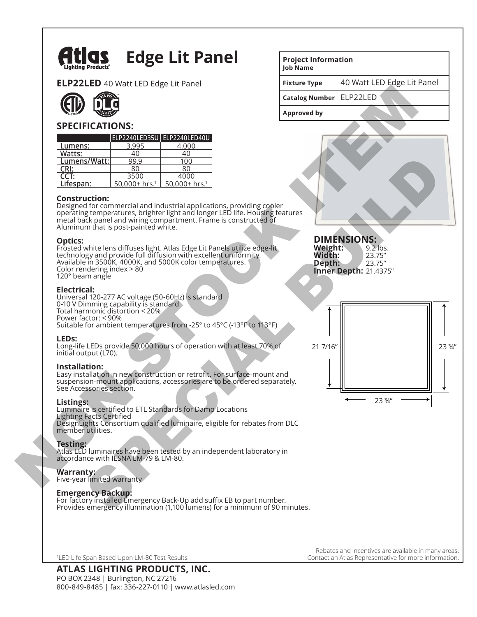

# **Edge Lit Panel**

**ELP22LED** 40 Watt LED Edge Lit Panel



## **SPECIFICATIONS:**

|              |                              | ELP2240LED35U ELP2240LED40U  |
|--------------|------------------------------|------------------------------|
| Lumens:      | 3.995                        | 4.000                        |
| Watts:       | 40                           | 40                           |
| Lumens/Watt: | 99.9                         | 100                          |
| CRI:         | 80                           | 80                           |
| CCT:         | 3500                         | 4000                         |
| Lifespan:    | $50.000 + hrs.$ <sup>1</sup> | $50.000 + hrs.$ <sup>1</sup> |

#### **Construction:**

Designed for commercial and industrial applications, providing cooler operating temperatures, brighter light and longer LED life. Housing features metal back panel and wiring compartment. Frame is constructed of Aluminum that is post-painted white.

#### **Optics:**

Frosted white lens diffuses light. Atlas Edge Lit Panels utilize edge-lit technology and provide full diffusion with excellent uniformity. Available in 3500K, 4000K, and 5000K color temperatures. Color rendering index > 80 120° beam angle

### **Electrical:**

Universal 120-277 AC voltage (50-60Hz) is standard 0-10 V Dimming capability is standard Total harmonic distortion < 20% Power factor: < 90% Suitable for ambient temperatures from -25° to 45°C (-13°F to 113°F)

#### **LEDs:**

Long-life LEDs provide 50,000 hours of operation with at least 70% of initial output (L70).

#### **Installation:**

Easy installation in new construction or retrofit. For surface-mount and suspension-mount applications, accessories are to be ordered separately. See Accessories section.

#### **Listings:**

Luminaire is certified to ETL Standards for Damp Locations Lighting Facts Certified DesignLights Consortium qualified luminaire, eligible for rebates from DLC member utilities.

#### **Testing:**

Atlas LED luminaires have been tested by an independent laboratory in accordance with IESNA LM-79 & LM-80.

#### **Warranty:**

Five-year limited warranty

#### **Emergency Backup:**

For factory installed Emergency Back-Up add suffix EB to part number. Provides emergency illumination (1,100 lumens) for a minimum of 90 minutes.

1 LED Life Span Based Upon LM-80 Test Results

## **ATLAS LIGHTING PRODUCTS, INC.**

PO BOX 2348 | Burlington, NC 27216 800-849-8485 | fax: 336-227-0110 | www.atlasled.com

#### **Project Information Job Name**

**Fixture Type** 40 Watt LED Edge Lit Panel

**Catalog Number**  ELP22LED

**Approved by**

## **DIMENSIONS: Weight:** 9.2 lbs.<br>**Width:** 23.75" **Width:** 23.75"<br>**Depth:** 23.75"





Rebates and Incentives are available in many areas. Contact an Atlas Representative for more information.